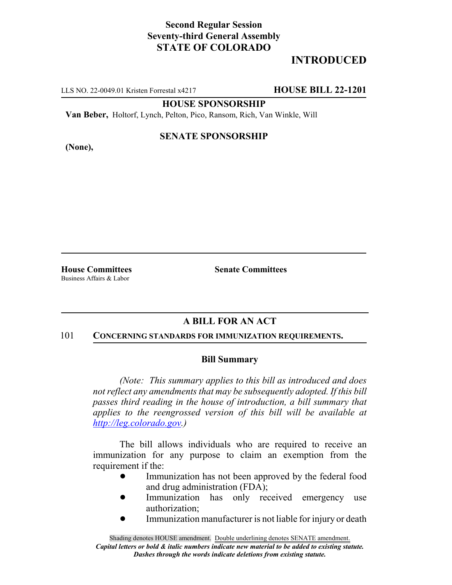# **Second Regular Session Seventy-third General Assembly STATE OF COLORADO**

# **INTRODUCED**

LLS NO. 22-0049.01 Kristen Forrestal x4217 **HOUSE BILL 22-1201**

**HOUSE SPONSORSHIP**

**Van Beber,** Holtorf, Lynch, Pelton, Pico, Ransom, Rich, Van Winkle, Will

**(None),**

### **SENATE SPONSORSHIP**

Business Affairs & Labor

**House Committees Senate Committees**

# **A BILL FOR AN ACT**

#### 101 **CONCERNING STANDARDS FOR IMMUNIZATION REQUIREMENTS.**

### **Bill Summary**

*(Note: This summary applies to this bill as introduced and does not reflect any amendments that may be subsequently adopted. If this bill passes third reading in the house of introduction, a bill summary that applies to the reengrossed version of this bill will be available at http://leg.colorado.gov.)*

The bill allows individuals who are required to receive an immunization for any purpose to claim an exemption from the requirement if the:

- Immunization has not been approved by the federal food and drug administration (FDA);
- Immunization has only received emergency use authorization;
- Immunization manufacturer is not liable for injury or death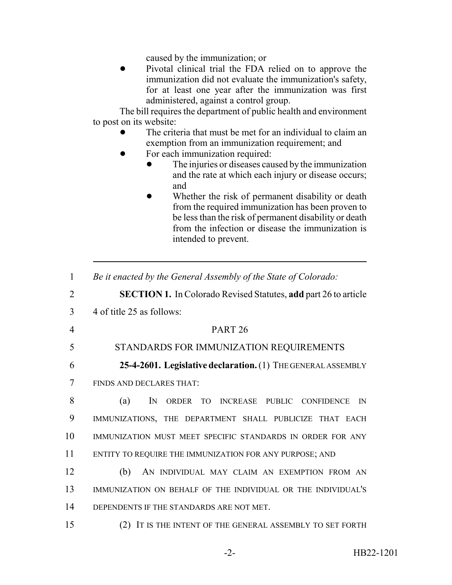caused by the immunization; or

Pivotal clinical trial the FDA relied on to approve the immunization did not evaluate the immunization's safety, for at least one year after the immunization was first administered, against a control group.

The bill requires the department of public health and environment to post on its website:

- The criteria that must be met for an individual to claim an exemption from an immunization requirement; and
- For each immunization required:
	- The injuries or diseases caused by the immunization and the rate at which each injury or disease occurs; and
	- Whether the risk of permanent disability or death from the required immunization has been proven to be less than the risk of permanent disability or death from the infection or disease the immunization is intended to prevent.
- 1 *Be it enacted by the General Assembly of the State of Colorado:*
- 2 **SECTION 1.** In Colorado Revised Statutes, **add** part 26 to article
- 3 4 of title 25 as follows:

## 4 PART 26

### 5 STANDARDS FOR IMMUNIZATION REQUIREMENTS

6 **25-4-2601. Legislative declaration.** (1) THE GENERAL ASSEMBLY

7 FINDS AND DECLARES THAT:

 (a) IN ORDER TO INCREASE PUBLIC CONFIDENCE IN IMMUNIZATIONS, THE DEPARTMENT SHALL PUBLICIZE THAT EACH IMMUNIZATION MUST MEET SPECIFIC STANDARDS IN ORDER FOR ANY ENTITY TO REQUIRE THE IMMUNIZATION FOR ANY PURPOSE; AND

12 (b) AN INDIVIDUAL MAY CLAIM AN EXEMPTION FROM AN 13 IMMUNIZATION ON BEHALF OF THE INDIVIDUAL OR THE INDIVIDUAL'S 14 DEPENDENTS IF THE STANDARDS ARE NOT MET.

15 (2) IT IS THE INTENT OF THE GENERAL ASSEMBLY TO SET FORTH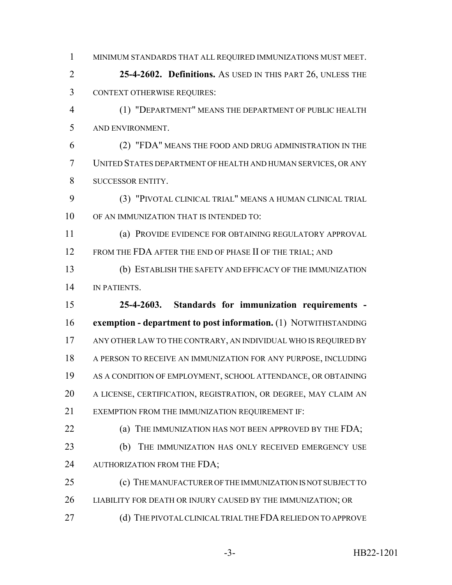MINIMUM STANDARDS THAT ALL REQUIRED IMMUNIZATIONS MUST MEET.

 **25-4-2602. Definitions.** AS USED IN THIS PART 26, UNLESS THE CONTEXT OTHERWISE REQUIRES:

 (1) "DEPARTMENT" MEANS THE DEPARTMENT OF PUBLIC HEALTH AND ENVIRONMENT.

 (2) "FDA" MEANS THE FOOD AND DRUG ADMINISTRATION IN THE UNITED STATES DEPARTMENT OF HEALTH AND HUMAN SERVICES, OR ANY 8 SUCCESSOR ENTITY.

 (3) "PIVOTAL CLINICAL TRIAL" MEANS A HUMAN CLINICAL TRIAL OF AN IMMUNIZATION THAT IS INTENDED TO:

 (a) PROVIDE EVIDENCE FOR OBTAINING REGULATORY APPROVAL 12 FROM THE FDA AFTER THE END OF PHASE II OF THE TRIAL; AND

 (b) ESTABLISH THE SAFETY AND EFFICACY OF THE IMMUNIZATION 14 IN PATIENTS.

 **25-4-2603. Standards for immunization requirements - exemption - department to post information.** (1) NOTWITHSTANDING 17 ANY OTHER LAW TO THE CONTRARY, AN INDIVIDUAL WHO IS REQUIRED BY A PERSON TO RECEIVE AN IMMUNIZATION FOR ANY PURPOSE, INCLUDING AS A CONDITION OF EMPLOYMENT, SCHOOL ATTENDANCE, OR OBTAINING A LICENSE, CERTIFICATION, REGISTRATION, OR DEGREE, MAY CLAIM AN EXEMPTION FROM THE IMMUNIZATION REQUIREMENT IF:

**(a) THE IMMUNIZATION HAS NOT BEEN APPROVED BY THE FDA;** 

23 (b) THE IMMUNIZATION HAS ONLY RECEIVED EMERGENCY USE 24 AUTHORIZATION FROM THE FDA;

 (c) THE MANUFACTURER OF THE IMMUNIZATION IS NOT SUBJECT TO LIABILITY FOR DEATH OR INJURY CAUSED BY THE IMMUNIZATION; OR

27 (d) THE PIVOTAL CLINICAL TRIAL THE FDA RELIED ON TO APPROVE